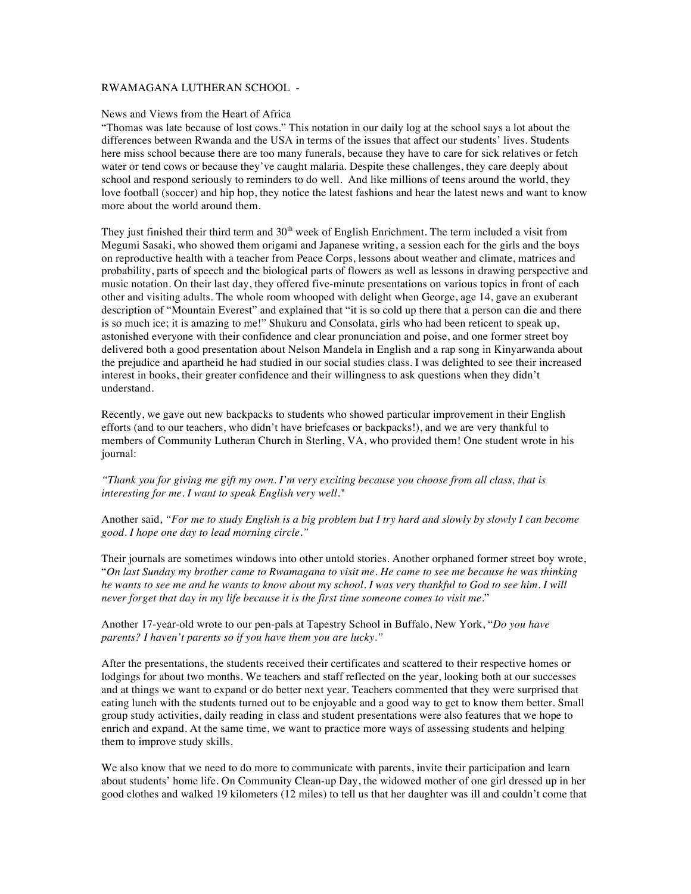## RWAMAGANA LUTHERAN SCHOOL -

#### News and Views from the Heart of Africa

"Thomas was late because of lost cows." This notation in our daily log at the school says a lot about the differences between Rwanda and the USA in terms of the issues that affect our students' lives. Students here miss school because there are too many funerals, because they have to care for sick relatives or fetch water or tend cows or because they've caught malaria. Despite these challenges, they care deeply about school and respond seriously to reminders to do well. And like millions of teens around the world, they love football (soccer) and hip hop, they notice the latest fashions and hear the latest news and want to know more about the world around them.

They just finished their third term and  $30<sup>th</sup>$  week of English Enrichment. The term included a visit from Megumi Sasaki, who showed them origami and Japanese writing, a session each for the girls and the boys on reproductive health with a teacher from Peace Corps, lessons about weather and climate, matrices and probability, parts of speech and the biological parts of flowers as well as lessons in drawing perspective and music notation. On their last day, they offered five-minute presentations on various topics in front of each other and visiting adults. The whole room whooped with delight when George, age 14, gave an exuberant description of "Mountain Everest" and explained that "it is so cold up there that a person can die and there is so much ice; it is amazing to me!" Shukuru and Consolata, girls who had been reticent to speak up, astonished everyone with their confidence and clear pronunciation and poise, and one former street boy delivered both a good presentation about Nelson Mandela in English and a rap song in Kinyarwanda about the prejudice and apartheid he had studied in our social studies class. I was delighted to see their increased interest in books, their greater confidence and their willingness to ask questions when they didn't understand.

Recently, we gave out new backpacks to students who showed particular improvement in their English efforts (and to our teachers, who didn't have briefcases or backpacks!), and we are very thankful to members of Community Lutheran Church in Sterling, VA, who provided them! One student wrote in his journal:

*"Thank you for giving me gift my own. I'm very exciting because you choose from all class, that is interesting for me. I want to speak English very well."*

Another said, *"For me to study English is a big problem but I try hard and slowly by slowly I can become good. I hope one day to lead morning circle."*

Their journals are sometimes windows into other untold stories. Another orphaned former street boy wrote, "*On last Sunday my brother came to Rwamagana to visit me. He came to see me because he was thinking he wants to see me and he wants to know about my school. I was very thankful to God to see him. I will never forget that day in my life because it is the first time someone comes to visit me.*"

Another 17-year-old wrote to our pen-pals at Tapestry School in Buffalo, New York, "*Do you have parents? I haven't parents so if you have them you are lucky."* 

After the presentations, the students received their certificates and scattered to their respective homes or lodgings for about two months. We teachers and staff reflected on the year, looking both at our successes and at things we want to expand or do better next year. Teachers commented that they were surprised that eating lunch with the students turned out to be enjoyable and a good way to get to know them better. Small group study activities, daily reading in class and student presentations were also features that we hope to enrich and expand. At the same time, we want to practice more ways of assessing students and helping them to improve study skills.

We also know that we need to do more to communicate with parents, invite their participation and learn about students' home life. On Community Clean-up Day, the widowed mother of one girl dressed up in her good clothes and walked 19 kilometers (12 miles) to tell us that her daughter was ill and couldn't come that